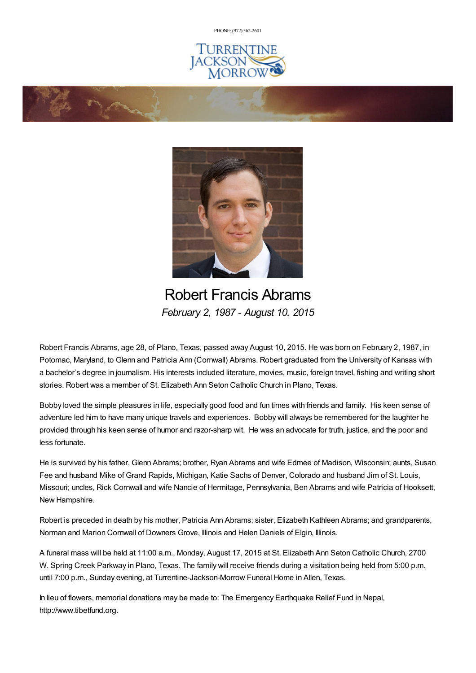PHONE: (972) [562-2601](tel:(972) 562-2601)







Robert Francis Abrams *February 2, 1987 - August 10, 2015*

Robert Francis Abrams, age 28, of Plano, Texas, passed away August 10, 2015. He was born on February 2, 1987, in Potomac, Maryland, to Glenn and Patricia Ann (Cornwall) Abrams. Robert graduated from the University of Kansas with a bachelor's degree in journalism. His interests included literature, movies, music, foreign travel, fishing and writing short stories. Robert was a member of St. Elizabeth Ann Seton Catholic Church in Plano, Texas.

Bobby loved the simple pleasures in life, especially good food and fun times with friends and family. His keen sense of adventure led him to have many unique travels and experiences. Bobby will always be remembered for the laughter he provided through his keen sense of humor and razor-sharp wit. He was an advocate for truth, justice, and the poor and less fortunate.

He is survived by his father, Glenn Abrams; brother, Ryan Abrams and wife Edmee of Madison, Wisconsin; aunts, Susan Fee and husband Mike of Grand Rapids, Michigan, Katie Sachs of Denver, Colorado and husband Jim of St. Louis, Missouri; uncles, Rick Cornwall and wife Nancie of Hermitage, Pennsylvania, Ben Abrams and wife Patricia of Hooksett, New Hampshire.

Robert is preceded in death by his mother, Patricia Ann Abrams; sister, Elizabeth Kathleen Abrams; and grandparents, Norman and Marion Cornwall of Downers Grove, Illinois and Helen Daniels of Elgin, Illinois.

A funeral mass will be held at 11:00 a.m., Monday, August 17, 2015 at St. Elizabeth Ann Seton Catholic Church, 2700 W. Spring Creek Parkway in Plano, Texas. The family will receive friends during a visitation being held from 5:00 p.m. until 7:00 p.m., Sunday evening, at Turrentine-Jackson-Morrow Funeral Home in Allen, Texas.

In lieu of flowers, memorial donations may be made to: The Emergency Earthquake Relief Fund in Nepal, http://www.tibetfund.org.